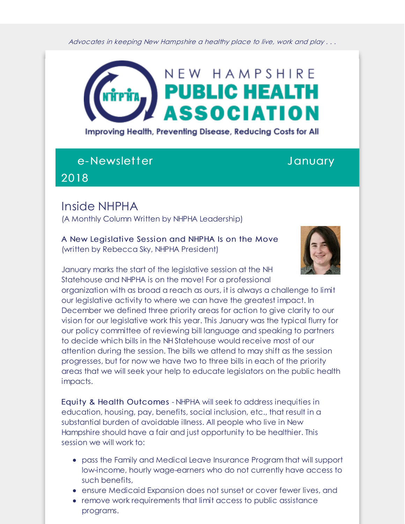Advocates in keeping New Hampshire <sup>a</sup> healthy place to live, work and play . . .



Improving Health, Preventing Disease, Reducing Costs for All

## e-Newsletter and a state of the January

2018

## Inside NHPHA

(A Monthly Column Written by NHPHA Leadership)

A New Legislative Session and NHPHA Is on the Move (written by Rebecca Sky, NHPHA President)



January marks the start of the legislative session at the NH Statehouse and NHPHA is on the move! For a professional

organization with as broad a reach as ours, it is always a challenge to limit our legislative activity to where we can have the greatest impact. In December we defined three priority areas for action to give clarity to our vision for our legislative work this year. This January was the typical flurry for our policy committee of reviewing bill language and speaking to partners to decide which bills in the NH Statehouse would receive most of our attention during the session. The bills we attend to may shift as the session progresses, but for now we have two to three bills in each of the priority areas that we will seek your help to educate legislators on the public health impacts.

Equity & Health Outcomes - NHPHA will seek to address inequities in education, housing, pay, benefits, social inclusion, etc., that result in a substantial burden of avoidable illness. All people who live in New Hampshire should have a fair and just opportunity to be healthier. This session we will work to:

- pass the Family and Medical Leave Insurance Program that will support low-income, hourly wage-earners who do not currently have access to such benefits,
- ensure Medicaid Expansion does not sunset or cover fewer lives, and
- remove work requirements that limit access to public assistance programs.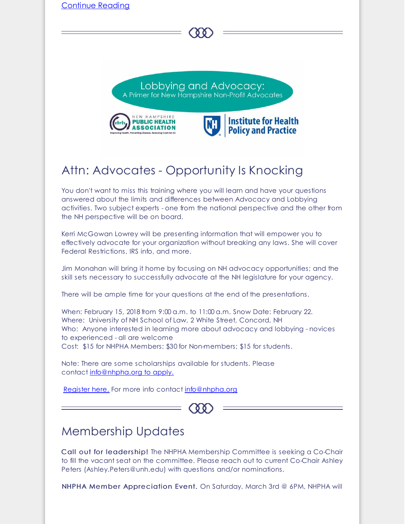

When: February 15, 2018 from 9:00 a.m. to 11:00 a.m. Snow Date: February 22. Where: University of NH School of Law, 2 White Street, Concord, NH Who: Anyone interested in learning more about advocacy and lobbying - novices to experienced - all are welcome Cost: \$15 for NHPHA Members; \$30 for Non-members; \$15 for students.

Note: There are some scholarships available for students. Please contact [info@nhpha.org](mailto:info@nhpha.org) to apply.

[Register](http://r20.rs6.net/tn.jsp?f=001eBCjnwgaUewno8yTZMc1I8VCxTWff2Ueri-TiC1jAtB-f1h085mCuCsJadXvelouVXVSH4pw5pACZTfsVMlQUSJKMj29qRkLHR6GdZr4ykkK5gZc_UMZ6tXCk95l-dipIgPmkCyxF78LoGLC_JEbk9hUVxJrF1zLljmDg31EMxMkbvcV2ZJqGvKc8Y_0Jo7pYSfPqf5V5leHyxrScHRi8FSFbts3GghFySKnIVGk2vEYB925vnAOWckWtrNOHpFP3drCQo1_tl9rGWUOBlEIaA==&c=&ch=) here. For more info contact [info@nhpha.org](mailto:info@nhpha.org)



## Membership Updates

Call out for leadership! The NHPHA Membership Committee is seeking a Co-Chair to fill the vacant seat on the committee. Please reach out to current Co-Chair Ashley Peters (Ashley.Peters@unh.edu) with questions and/or nominations.

NHPHA Member Appreciation Event. On Saturday, March 3rd @ 6PM, NHPHA will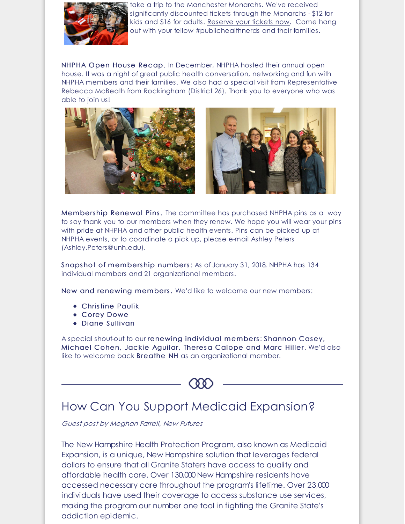

take a trip to the Manchester Monarchs. We've received significantly discounted tickets through the Monarchs - \$12 for kids and \$16 for adults. [Reserve](http://r20.rs6.net/tn.jsp?f=001eBCjnwgaUewno8yTZMc1I8VCxTWff2Ueri-TiC1jAtB-f1h085mCuCsJadXvelouWw3md9LjM6FE_EvWSM4yhisx4jiBkVWYphgnC2VmtwoTu0Qdju44aWZ_g4of5dzt36fkVa6ZxxFQ0CRADwOR7I7tf-GMt8JlFJ3PKVqIQgjOAldL1prZS3PrVWDE_GE51uJ46PEVtE7NCgv9RKt7HscMb2Rjg98TK8X4Ba4ByO9FpNdhhaDyuz0Zb6qhZDB4&c=&ch=) your tickets now. Come hang out with your fellow #publichealthnerds and their families.

NHPHA Open House Recap. In December, NHPHA hosted their annual open house. It was a night of great public health conversation, networking and fun with NHPHA members and their families. We also had a special visit from Representative Rebecca McBeath from Rockingham (District 26). Thank you to everyone who was able to join us!



Members hip Renewal Pins. The committee has purchased NHPHA pins as a way to say thank you to our members when they renew. We hope you will wear your pins with pride at NHPHA and other public health events. Pins can be picked up at NHPHA events, or to coordinate a pick up, please e-mail Ashley Peters (Ashley.Peters@unh.edu).

Snaps hot of members hip numbers: As of January 31, 2018, NHPHA has 134 individual members and 21 organizational members.

New and renewing members. We'd like to welcome our new members:

- Christine Paulik
- Corey Dowe
- Diane Sullivan

A special shout-out to our renewing individual members: Shannon Casey, Michael Cohen, Jackie Aguilar, Theresa Calope and Marc Hiller. We'd also like to welcome back Breathe NH as an organizational member.



# How Can You Support Medicaid Expansion?

Guest post by Meghan Farrell, New Futures

The New Hampshire Health Protection Program, also known as Medicaid Expansion, is a unique, New Hampshire solution that leverages federal dollars to ensure that all Granite Staters have access to quality and affordable health care. Over 130,000 New Hampshire residents have accessed necessary care throughout the program's lifetime. Over 23,000 individuals have used their coverage to access substance use services, making the program our number one tool in fighting the Granite State's addiction epidemic.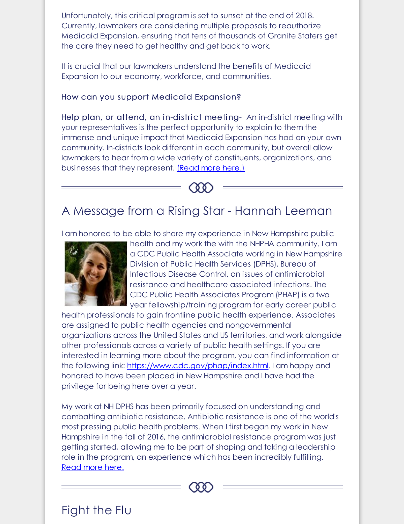Unfortunately, this critical program is set to sunset at the end of 2018. Currently, lawmakers are considering multiple proposals to reauthorize Medicaid Expansion, ensuring that tens of thousands of Granite Staters get the care they need to get healthy and get back to work.

It is crucial that our lawmakers understand the benefits of Medicaid Expansion to our economy, workforce, and communities.

### How can you support Medicaid Expansion?

Help plan, or attend, an in-district meeting- An in-district meeting with your representatives is the perfect opportunity to explain to them the immense and unique impact that Medicaid Expansion has had on your own community. In-districts look different in each community, but overall allow lawmakers to hear from a wide variety of constituents, organizations, and businesses that they represent. [\(Read](http://r20.rs6.net/tn.jsp?f=001eBCjnwgaUewno8yTZMc1I8VCxTWff2Ueri-TiC1jAtB-f1h085mCuCsJadXvelouByPiBEZoGjn_DVumCLD4nJlC2_sCjdBzDZ3eYPYp2N0nCrK8341BUbPEvXUXZsEMR4cupesHdJY6jcc66D_EYP0TGFK45xzDpzcipvAFqC3zoJxwcZpOM8QGQ8fXAH0jumYm-CQQjLzkuuVtwT1D0-z_cqBRLi014A7FhXSlRSwpIYOAo0yY1w==&c=&ch=) more here.)



# A Message from a Rising Star - Hannah Leeman

I am honored to be able to share my experience in New Hampshire public



health and my work the with the NHPHA community. I am a CDC Public Health Associate working in New Hampshire Division of Public Health Services (DPHS), Bureau of Infectious Disease Control, on issues of antimicrobial resistance and healthcare associated infections. The CDC Public Health Associates Program (PHAP) is a two year fellowship/training program for early career public

health professionals to gain frontline public health experience. Associates are assigned to public health agencies and nongovernmental organizations across the United States and US territories, and work alongside other professionals across a variety of public health settings. If you are interested in learning more about the program, you can find information at the following link: [https://www.cdc.gov/phap/index.html](http://r20.rs6.net/tn.jsp?f=001eBCjnwgaUewno8yTZMc1I8VCxTWff2Ueri-TiC1jAtB-f1h085mCuCsJadXvelouCR3m9wzXDJBwhYl9t7qhhdP-Jz3YtS8Z-3yhFb9vOh9-5pQSVkCMKzrhKa8RtkWp0B9fXPUunDtFHsDT5k9L26CbJjcLoJNHobYHEpt7TjdeeRY_F9-x4Ym1HTpEAoof&c=&ch=). I am happy and honored to have been placed in New Hampshire and I have had the privilege for being here over a year.

My work at NH DPHS has been primarily focused on understanding and combatting antibiotic resistance. Antibiotic resistance is one of the world's most pressing public health problems. When I first began my work in New Hampshire in the fall of 2016, the antimicrobial resistance program was just getting started, allowing me to be part of shaping and taking a leadership role in the program, an experience which has been incredibly fulfilling. [Read](http://r20.rs6.net/tn.jsp?f=001eBCjnwgaUewno8yTZMc1I8VCxTWff2Ueri-TiC1jAtB-f1h085mCuCsJadXvelouUzFaox1skSPGgaCZ6d7XnKleRARwPANYm_QuoG5wCC7Y_Va-unVhzKdgAHOEYcjFcusU6RbSN00n1sUaPenkPCb8YiGCk-zbhlcIScGHlWnbHJyoRyWRBZkHQ3m743D4QuTeVuIOP40nYbLN_a5PiT1CfzBdnoG3Ks21SNo2qhE=&c=&ch=) more here.

 $\Omega$ 

Fight the Flu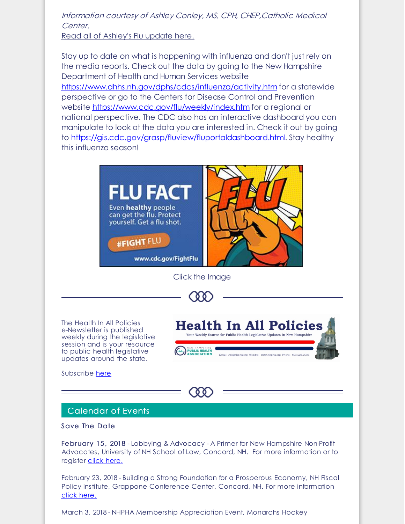### Information courtesy of Ashley Conley, MS, CPH, CHEP,Catholic Medical Center.

Read all of [Ashley's](http://r20.rs6.net/tn.jsp?f=001eBCjnwgaUewno8yTZMc1I8VCxTWff2Ueri-TiC1jAtB-f1h085mCuCsJadXvelourrEVb6QNuFNN04xL5Y5LxbDH9BUrNJBPPZ-aT7VRUdb1E3IxH6a-H3qk3tcR9EGJ1Wm0cwjNZ1VGZxO4b03TTrpXVl3gw6joXIPWeVh-A2EFSSGm_paDBro-T4JvBTSmr7fS1jMXGSfzhEtvxucdzQ==&c=&ch=) Flu update here.

Stay up to date on what is happening with influenza and don't just rely on the media reports. Check out the data by going to the New Hampshire Department of Health and Human Services website [https://www.dhhs.nh.gov/dphs/cdcs/influenza/activity.htm](http://r20.rs6.net/tn.jsp?f=001eBCjnwgaUewno8yTZMc1I8VCxTWff2Ueri-TiC1jAtB-f1h085mCuCsJadXvelouyF7-LS06_uTl8yoAdVyz8puFDyA0rMSgXGa1uYuZNYCv33X3TTR9Vp33ohmh2xmZHpRUKsf1SR3LcVXJlIy956Ot2-fb2ragge-g0kISBjRYihgXUq7zghegIZVwA2N4ZRNiBsjRJTfc_D9uL0I0RyVXIOXOu74U&c=&ch=) for a statewide perspective or go to the Centers for Disease Control and Prevention website [https://www.cdc.gov/flu/weekly/index.htm](http://r20.rs6.net/tn.jsp?f=001eBCjnwgaUewno8yTZMc1I8VCxTWff2Ueri-TiC1jAtB-f1h085mCuCsJadXvelouKoylVwRgs9wp4zrPY0Shf0ItIrSBZtBkONdOmrc7ptsf2BlN94-UTdSWvLWvrkR3gV8tAUShXxTloYMROKLymW6F2U8p89ozZ9eJnmHAFP1HgbkHTduK1ag-sKT5gYurBC09WzZbGp0=&c=&ch=) for a regional or national perspective. The CDC also has an interactive dashboard you can manipulate to look at the data you are interested in. Check it out by going to [https://gis.cdc.gov/grasp/fluview/fluportaldashboard.html](http://r20.rs6.net/tn.jsp?f=001eBCjnwgaUewno8yTZMc1I8VCxTWff2Ueri-TiC1jAtB-f1h085mCuCsJadXvelouVeaZIXa-YEGxpx5rfbCHJFa0sqS2RPbJH2-dKLflHybUV689-vyIRXJqPNr46EmGYcJHIQoR8uFZr14hlqDsmqBmBjkZA9_zOu1z_pjIzy9zboRsFYnaZAsCNcy6wtIvhxh-CG9h7aL6yvil7fIBuEqMjTOB8Gfs&c=&ch=). Stay healthy this influenza season!



Subscribe [here](https://visitor.r20.constantcontact.com/manage/optin?v=001KhgrVwuZAoWZ9P_52j8jbCY1MRTxqWaXa-f352juxH6y_Eht-pgUDpS02x1LxlQuWp921w2GJ6lVAT0GooIFMo5m3jLwyuXwIhUlG5iI_CAf6CMFGRAWiXGiwuSLKE3JBJF_eUsUVzu2it_CEMS2B10icOoYosm4k_jhZfAtng2KGSvRcOeo-TX6R98WBnb8tXyR0XuspTcfakn-4ogEgWEZr2sIyLTFlWNZrnuQrXH3HPQL9vhMUg%3D%3D)



### Calendar of Events

Save The Date

February 15 , 2018 - Lobbying & Advocacy - A Primer for New Hampshire Non-Profit Advocates, University of NH School of Law, Concord, NH. For more information or to register click [here.](http://r20.rs6.net/tn.jsp?f=001eBCjnwgaUewno8yTZMc1I8VCxTWff2Ueri-TiC1jAtB-f1h085mCuCsJadXvelouVXVSH4pw5pACZTfsVMlQUSJKMj29qRkLHR6GdZr4ykkK5gZc_UMZ6tXCk95l-dipIgPmkCyxF78LoGLC_JEbk9hUVxJrF1zLljmDg31EMxMkbvcV2ZJqGvKc8Y_0Jo7pYSfPqf5V5leHyxrScHRi8FSFbts3GghFySKnIVGk2vEYB925vnAOWckWtrNOHpFP3drCQo1_tl9rGWUOBlEIaA==&c=&ch=)

February 23, 2018 - Building a Strong Foundation for a Prosperous Economy, NH Fiscal Policy Institute, Grappone Conference Center, Concord, NH. For more information click [here.](http://r20.rs6.net/tn.jsp?f=001eBCjnwgaUewno8yTZMc1I8VCxTWff2Ueri-TiC1jAtB-f1h085mCuCsJadXveloutfn4osZW7TJxQr0DZb5OE9isBuP-Izxa1Zi6scN1d7d8h1qCgWVRSSX29Mus97u0D7csvOn6EmROzAZXb42vWcCEp4uMpD3GVfNKGCCuY1vo0Zoj_6nEjdPXHcgl9U1bnfFa4NHqr183gL36AJqoLYHBkhaIrqZhWsEVl-JDxqwbKDRyboxAhupNSpjDCAZiG4YhGFoLKIfP8pEAvZueoQ==&c=&ch=)

March 3, 2018 - NHPHA Membership Appreciation Event, Monarchs Hockey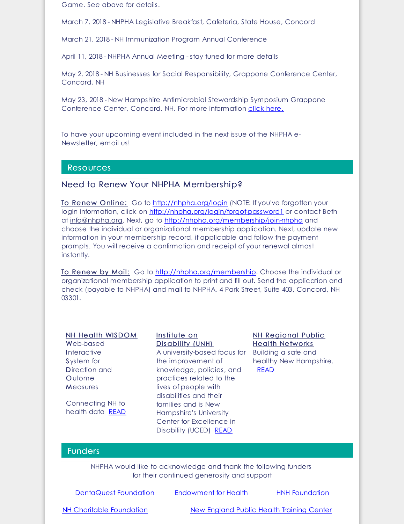Game. See above for details.

March 7, 2018 - NHPHA Legislative Breakfast, Cafeteria, State House, Concord

March 21, 2018 - NH Immunization Program Annual Conference

April 11, 2018 - NHPHA Annual Meeting - stay tuned for more details

May 2, 2018 - NH Businesses for Social Responsibility, Grappone Conference Center, Concord, NH

May 23, 2018 - New Hampshire Antimicrobial Stewardship Symposium Grappone Conference Center, Concord, NH. For more information click [here.](http://r20.rs6.net/tn.jsp?f=001eBCjnwgaUewno8yTZMc1I8VCxTWff2Ueri-TiC1jAtB-f1h085mCuCsJadXvelouUidUGKPejkyQbTfEoETib2GSuHYVUa_j0kqr40aVxLaU6aQtMZlnpranRCc0X3L7817yie-6id4syS7gZTc7d13kKCakNEgLi0-O4BRRLSWl5VRR-yDJOpWN8u9_rjilqXkqGkh1yE5g_ii_uJi53YH3GP3iR6P3InmxVy8MITRr8NEopaUb1c8kAsWHIj-7&c=&ch=)

To have your upcoming event included in the next issue of the NHPHA e-Newsletter, email us!

#### Resources

### Need to Renew Your NHPHA Membership?

To Renew Online: Go to [http://nhpha.org/login](http://r20.rs6.net/tn.jsp?f=001eBCjnwgaUewno8yTZMc1I8VCxTWff2Ueri-TiC1jAtB-f1h085mCuHRK6mxMYme16jaeqm-kSpp7G1Vat4eBpEtaioBnau53-63ijg4shYJJFj-qFPdv9dJQhjhPFBVC3VyD8Gx7CzSadQDgWrQF6GPI5XcJT-ZFbSOwgNd0UVY=&c=&ch=) (NOTE: If you've forgotten your login information, click on [http://nhpha.org/login/forgot-password1](http://r20.rs6.net/tn.jsp?f=001eBCjnwgaUewno8yTZMc1I8VCxTWff2Ueri-TiC1jAtB-f1h085mCuHRK6mxMYme1I9Dil1dYKI2cUI06m6DSvMGqLDWy9z5-qVxTFwnOIf00-dGWlbHYvigL-vd8zhgJYNTcEsqdB2y5Kz_0Vx-NS_GjP3EFBt9XgopC9rw4aRanMCHIM3rpKT_TovEulEUt&c=&ch=) or contact Beth at [info@nhpha.org](mailto:info@nhpha.org). Next, go to [http://nhpha.org/membership/join-nhpha](http://r20.rs6.net/tn.jsp?f=001eBCjnwgaUewno8yTZMc1I8VCxTWff2Ueri-TiC1jAtB-f1h085mCuGjhDPpbdy2_R8x5Kf59ck4Yvb1T1AftVgAj1rT1c1b2-E2Lhlkr53VoMz-OKx035oyVBwCED9kheOWdDvhYDSHsEdQrOFR1pre0XU4zmxSh4yY2oYT9d7mIdASpeiAGCqY90RPiKBrx&c=&ch=) and choose the individual or organizational membership application. Next, update new information in your membership record, if applicable and follow the payment prompts. You will receive a confirmation and receipt of your renewal almost instantly.

To Renew by Mail: Go to [http://nhpha.org/membership](http://r20.rs6.net/tn.jsp?f=001eBCjnwgaUewno8yTZMc1I8VCxTWff2Ueri-TiC1jAtB-f1h085mCuHRK6mxMYme1b8x3Gv7ZQeznuEpwtc3EUweH7F_Wyb8tyYg3qizFYUzSagi7tegHGmesb8Wmml71DRTkutPsmStAW-H4OEyJshaiFSEo-6ZHbUXMJLZD7GavOWJXC9ZdCg==&c=&ch=). Choose the individual or organizational membership application to print and fill out. Send the application and check (payable to NHPHA) and mail to NHPHA, 4 Park Street, Suite 403, Concord, NH 03301.

#### NH Health WISDOM

Web-based **Interactive** System for Direction and **Outome Measures** 

Connecting NH to health data [READ](http://r20.rs6.net/tn.jsp?f=001eBCjnwgaUewno8yTZMc1I8VCxTWff2Ueri-TiC1jAtB-f1h085mCuO9qWlWRSgNWFe-VU42sjdw0haY9g9gqeNjS7VCdSZ0JhaKJqT5PgdtntaaaU0MNgGCxvLnVSUzDTRi5mfgVvR1TEZfvDm8-9qqqwzxnAFxZgki1yaYT1xxV62CPQoZErzqPos0V6HDpazXXS7HvyCA=&c=&ch=)

#### Institute on Disability (UNH)

A university-based focus for Building a safe and the improvement of knowledge, policies, and practices related to the lives of people with disabilities and their families and is New Hampshire's University Center for Excellence in Disability (UCED) [READ](http://r20.rs6.net/tn.jsp?f=001eBCjnwgaUewno8yTZMc1I8VCxTWff2Ueri-TiC1jAtB-f1h085mCuGnJnj9B03EJ9R6mckTSWSn2lpnbMHscCOrkGq-M7ROjNcrpbCi9s906rHtW5QN1EPOQ5LRofrIfnUfN9GJLDtb_ZINLo5NT_xeOCx1Eb7bdcMEbDz9_5W1feNkOlEibmA==&c=&ch=)

**NH Regional Public** Health Networks healthy New Hampshire. [READ](http://r20.rs6.net/tn.jsp?f=001eBCjnwgaUewno8yTZMc1I8VCxTWff2Ueri-TiC1jAtB-f1h085mCuGMO_Obx9_1Z8pGTGMbLht9mVS9FZv3vxXLyPoTNVEK4V4F2g6hUJNfTYd5sAi5V4h-l4AUWzEk6LIzPa7d1dMWxrW-MHjKQ1ZJjiJEScxU5&c=&ch=)

### **Funders**

NHPHA would like to acknowledge and thank the following funders for their continued generosity and support

| DentaQuest Foundation | Endowment for Health | <b>HNH Foundation</b> |
|-----------------------|----------------------|-----------------------|
|                       |                      |                       |

NH Charitable [Foundation](http://r20.rs6.net/tn.jsp?f=001eBCjnwgaUewno8yTZMc1I8VCxTWff2Ueri-TiC1jAtB-f1h085mCuO7l7NAyso8hO7pYks4-Y7Bj31k3lzD43wDCGjFBfSdT1pAVPa9gm9UYhnMOfgxK0RQRAIu9KW_2I8omAVeU-8CtzNvFYEVO1S4iTJPpvPaCifF_8JaBoms=&c=&ch=) New [England](http://r20.rs6.net/tn.jsp?f=001eBCjnwgaUewno8yTZMc1I8VCxTWff2Ueri-TiC1jAtB-f1h085mCuCsJadXveloucrfnr09YvCJqqdFCzBdFdFEo6jQPGgs5M2i1hBFKsy-6TRbJXSicelo8hkWAuIlTWbnBDwyJrUFT2n7lhhfZpx4APKzDv63U1KIzv1d4UqfOVl_9DbuV0w==&c=&ch=) Public Health Training Center